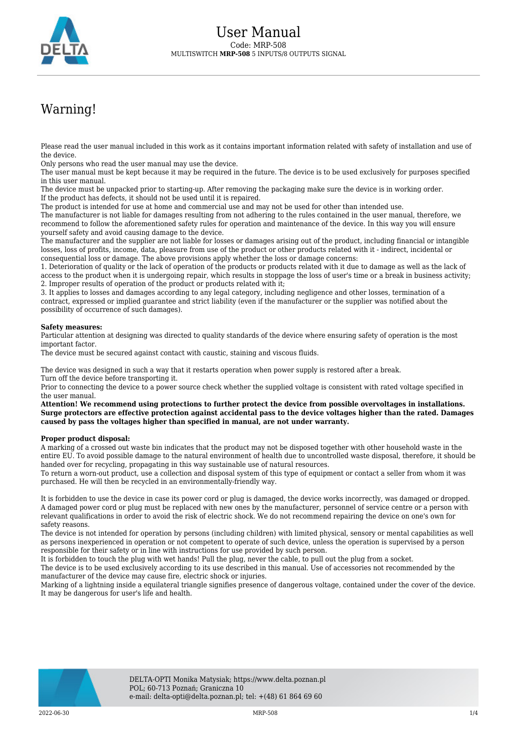

## Warning!

Please read the user manual included in this work as it contains important information related with safety of installation and use of the device.

Only persons who read the user manual may use the device.

The user manual must be kept because it may be required in the future. The device is to be used exclusively for purposes specified in this user manual.

The device must be unpacked prior to starting-up. After removing the packaging make sure the device is in working order. If the product has defects, it should not be used until it is repaired.

The product is intended for use at home and commercial use and may not be used for other than intended use.

The manufacturer is not liable for damages resulting from not adhering to the rules contained in the user manual, therefore, we recommend to follow the aforementioned safety rules for operation and maintenance of the device. In this way you will ensure yourself safety and avoid causing damage to the device.

The manufacturer and the supplier are not liable for losses or damages arising out of the product, including financial or intangible losses, loss of profits, income, data, pleasure from use of the product or other products related with it - indirect, incidental or consequential loss or damage. The above provisions apply whether the loss or damage concerns:

1. Deterioration of quality or the lack of operation of the products or products related with it due to damage as well as the lack of access to the product when it is undergoing repair, which results in stoppage the loss of user's time or a break in business activity; 2. Improper results of operation of the product or products related with it;

3. It applies to losses and damages according to any legal category, including negligence and other losses, termination of a contract, expressed or implied guarantee and strict liability (even if the manufacturer or the supplier was notified about the possibility of occurrence of such damages).

## **Safety measures:**

Particular attention at designing was directed to quality standards of the device where ensuring safety of operation is the most important factor.

The device must be secured against contact with caustic, staining and viscous fluids.

The device was designed in such a way that it restarts operation when power supply is restored after a break. Turn off the device before transporting it.

Prior to connecting the device to a power source check whether the supplied voltage is consistent with rated voltage specified in the user manual.

**Attention! We recommend using protections to further protect the device from possible overvoltages in installations. Surge protectors are effective protection against accidental pass to the device voltages higher than the rated. Damages caused by pass the voltages higher than specified in manual, are not under warranty.**

## **Proper product disposal:**

A marking of a crossed out waste bin indicates that the product may not be disposed together with other household waste in the entire EU. To avoid possible damage to the natural environment of health due to uncontrolled waste disposal, therefore, it should be handed over for recycling, propagating in this way sustainable use of natural resources.

To return a worn-out product, use a collection and disposal system of this type of equipment or contact a seller from whom it was purchased. He will then be recycled in an environmentally-friendly way.

It is forbidden to use the device in case its power cord or plug is damaged, the device works incorrectly, was damaged or dropped. A damaged power cord or plug must be replaced with new ones by the manufacturer, personnel of service centre or a person with relevant qualifications in order to avoid the risk of electric shock. We do not recommend repairing the device on one's own for safety reasons.

The device is not intended for operation by persons (including children) with limited physical, sensory or mental capabilities as well as persons inexperienced in operation or not competent to operate of such device, unless the operation is supervised by a person responsible for their safety or in line with instructions for use provided by such person.

It is forbidden to touch the plug with wet hands! Pull the plug, never the cable, to pull out the plug from a socket.

The device is to be used exclusively according to its use described in this manual. Use of accessories not recommended by the manufacturer of the device may cause fire, electric shock or injuries.

Marking of a lightning inside a equilateral triangle signifies presence of dangerous voltage, contained under the cover of the device. It may be dangerous for user's life and health.

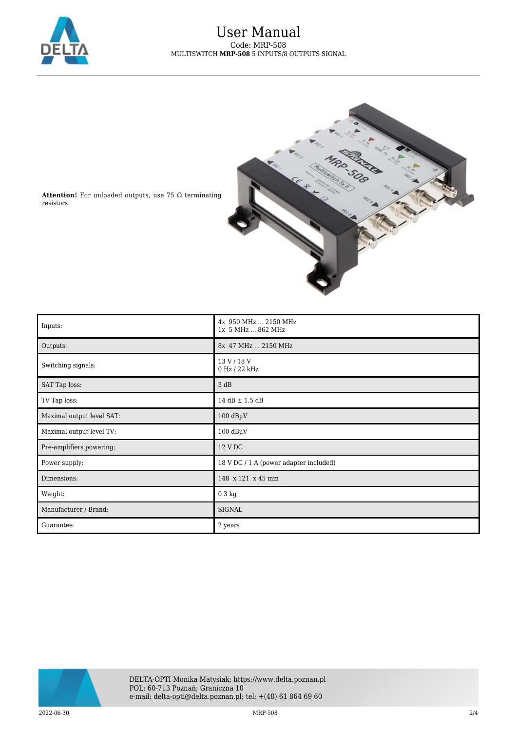



**Attention!** For unloaded outputs, use 75 Ω terminating resistors.

| Inputs:                   | 4x 950 MHz  2150 MHz<br>1x 5 MHz  862 MHz |
|---------------------------|-------------------------------------------|
| Outputs:                  | 8x 47 MHz  2150 MHz                       |
| Switching signals:        | 13 V / 18 V<br>0 Hz / 22 kHz              |
| SAT Tap loss:             | 3 dB                                      |
| TV Tap loss:              | $14$ dB $\pm$ 1.5 dB                      |
| Maximal output level SAT: | $100$ dB $\mu$ V                          |
| Maximal output level TV:  | $100$ dB $\mu$ V                          |
| Pre-amplifiers powering:  | 12 V DC                                   |
| Power supply:             | 18 V DC / 1 A (power adapter included)    |
| Dimensions:               | 148 x 121 x 45 mm                         |
| Weight:                   | $0.3 \text{ kg}$                          |
| Manufacturer / Brand:     | <b>SIGNAL</b>                             |
| Guarantee:                | 2 years                                   |

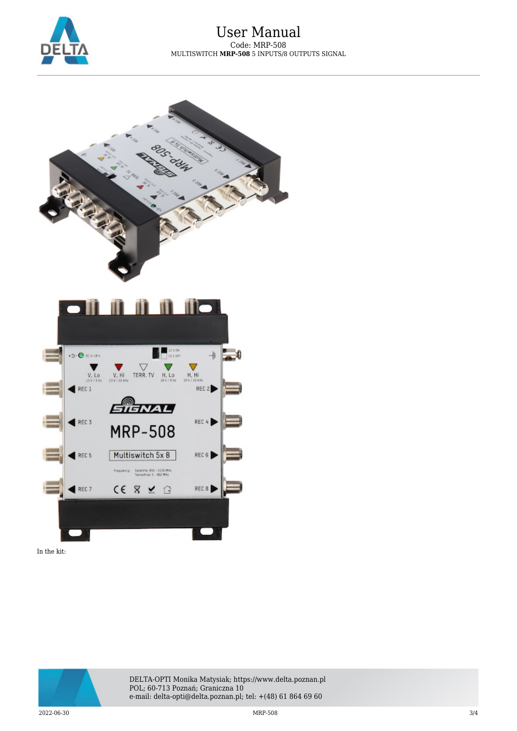



In the kit: